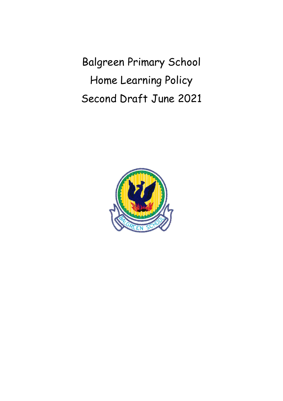Balgreen Primary School Home Learning Policy Second Draft June 2021

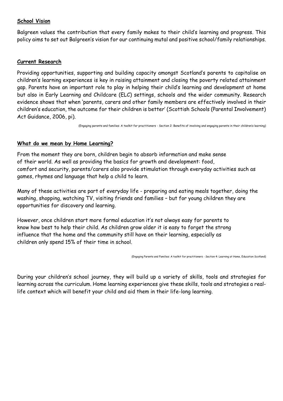### **School Vision**

Balgreen values the contribution that every family makes to their child's learning and progress. This policy aims to set out Balgreen's vision for our continuing mutal and positive school/family relationships.

#### **Current Research**

Providing opportunities, supporting and building capacity amongst Scotland's parents to capitalise on children's learning experiences is key in raising attainment and closing the poverty related attainment gap. Parents have an important role to play in helping their child's learning and development at home but also in Early Learning and Childcare (ELC) settings, schools and the wider community. Research evidence shows that when 'parents, carers and other family members are effectively involved in their children's education, the outcome for their children is better' (Scottish Schools (Parental Involvement) Act Guidance, 2006, pi).

(Engaging parents and families: A toolkit for practitioners - Section 2: Benefits of involving and engaging parents in their children's learning)

### **What do we mean by Home Learning?**

From the moment they are born, children begin to absorb information and make sense of their world. As well as providing the basics for growth and development: food, comfort and security, parents/carers also provide stimulation through everyday activities such as games, rhymes and language that help a child to learn.

Many of these activities are part of everyday life - preparing and eating meals together, doing the washing, shopping, watching TV, visiting friends and families – but for young children they are opportunities for discovery and learning.

However, once children start more formal education it's not always easy for parents to know how best to help their child. As children grow older it is easy to forget the strong influence that the home and the community still have on their learning, especially as children only spend 15% of their time in school.

(Engaging Parents and Families: A toolkit for practitioners - Section 4: Learning at Home, Education Scotland)

During your children's school journey, they will build up a variety of skills, tools and strategies for learning across the curriculum. Home learning experiences give these skills, tools and strategies a reallife context which will benefit your child and aid them in their life-long learning.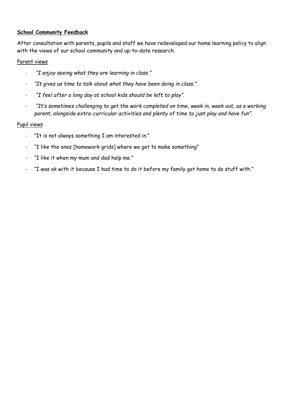## **School Community Feedback**

After consultation with parents, pupils and staff we have redeveloped our home learning policy to align with the views of our school community and up-to-date research.

### Parent views

- *"I enjoy seeing what they are learning in class."*
- *"It gives us time to talk about what they have been doing in class."*
- *"I feel after a long day at school kids should be left to play".*
- *"It's sometimes challenging to get the work completed on time, week in, week out, as a working parent, alongside extra-curricular activities and plenty of time to just play and have fun".*

### Pupil views

- "It is not always something I am interested in."
- "I like the ones [homework grids] where we get to make something"
- "I like it when my mum and dad help me."
- "I was ok with it because I had time to do it before my family got home to do stuff with."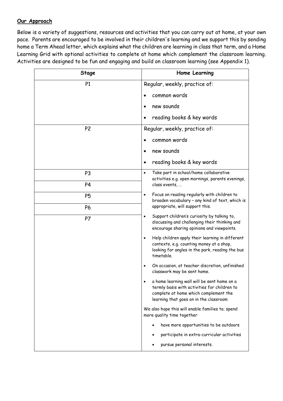## **Our Approach**

Below is a variety of suggestions, resources and activities that you can carry out at home, at your own pace. Parents are encouraged to be involved in their children's learning and we support this by sending home a Term Ahead letter, which explains what the children are learning in class that term, and a Home Learning Grid with optional activities to complete at home which complement the classroom learning. Activities are designed to be fun and engaging and build on classroom learning (see Appendix 1).

| Stage          | Home Learning                                                                                                                                                                  |
|----------------|--------------------------------------------------------------------------------------------------------------------------------------------------------------------------------|
| P <sub>1</sub> | Regular, weekly, practice of:                                                                                                                                                  |
|                | common words<br>$\bullet$                                                                                                                                                      |
|                | new sounds<br>$\bullet$                                                                                                                                                        |
|                | reading books & key words<br>$\bullet$                                                                                                                                         |
| P <sub>2</sub> | Regular, weekly, practice of:                                                                                                                                                  |
|                | common words                                                                                                                                                                   |
|                | new sounds<br>$\bullet$                                                                                                                                                        |
|                | reading books & key words<br>$\bullet$                                                                                                                                         |
| P <sub>3</sub> | Take part in school/home collaborative<br>$\bullet$<br>activities e.g. open mornings, parents evenings,                                                                        |
| P <sub>4</sub> | class events,                                                                                                                                                                  |
| P <sub>5</sub> | Focus on reading regularly with children to<br>$\bullet$<br>broaden vocabulary - any kind of text, which is                                                                    |
| P6             | appropriate, will support this.                                                                                                                                                |
| P7             | Support children's curiosity by talking to,<br>$\bullet$<br>discussing and challenging their thinking and<br>encourage sharing opinions and viewpoints.                        |
|                | Help children apply their learning in different<br>$\bullet$<br>contexts, e.g. counting money at a shop,<br>looking for angles in the park, reading the bus<br>timetable.      |
|                | On occasion, at teacher discretion, unfinished<br>$\bullet$<br>classwork may be sent home.                                                                                     |
|                | a home learning wall will be sent home on a<br>termly basis with activities for children to<br>complete at home which complement the<br>learning that goes on in the classroom |
|                | We also hope this will enable families to; spend<br>more quality time together                                                                                                 |
|                | have more opportunities to be outdoors                                                                                                                                         |
|                | participate in extra-curricular activities                                                                                                                                     |
|                | pursue personal interests.                                                                                                                                                     |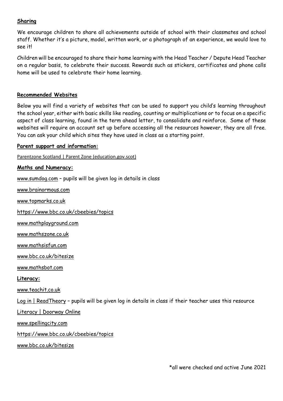### **Sharing**

We encourage children to share all achievements outside of school with their classmates and school staff. Whether it's a picture, model, written work, or a photograph of an experience, we would love to see it!

Children will be encouraged to share their home learning with the Head Teacher / Depute Head Teacher on a regular basis, to celebrate their success. Rewards such as stickers, certificates and phone calls home will be used to celebrate their home learning.

### **Recommended Websites**

Below you will find a variety of websites that can be used to support you child's learning throughout the school year, either with basic skills like reading, counting or multiplications or to focus on a specific aspect of class learning, found in the term ahead letter, to consolidate and reinforce. Some of these websites will require an account set up before accessing all the resources however, they are all free. You can ask your child which sites they have used in class as a starting point.

### **Parent support and information:**

Parentzone Scotland | Parent Zone [\(education.gov.scot\)](https://education.gov.scot/parentzone/)

#### **Maths and Numeracy:**

[www.sumdog.com](http://www.sumdog.com/) – pupils will be given log in details in class

[www.brainormous.com](http://www.brainormous.com/)

[www.topmarks.co.uk](http://www.topmarks.co.uk/)

<https://www.bbc.co.uk/cbeebies/topics>

[www.mathplayground.com](http://www.mathplayground.com/)

[www.mathszone.co.uk](http://www.mathszone.co.uk/)

[www.mathsisfun.com](http://www.mathsisfun.com/)

[www.bbc.co.uk/bitesize](http://www.bbc.co.uk/bitesize)

[www.mathsbot.com](http://www.mathsbot.com/)

#### **Literacy:**

[www.teachit.co.uk](http://www.teachit.co.uk/)

Log in | [ReadTheory](https://readtheory.org/auth/login) – pupils will be given log in details in class if their teacher uses this resource

Literacy | [Doorway](https://www.doorwayonline.org.uk/literacy/) Online

[www.spellingcity.com](http://www.spellingcity.com/)

<https://www.bbc.co.uk/cbeebies/topics>

[www.bbc.co.uk/bitesize](http://www.bbc.co.uk/bitesize)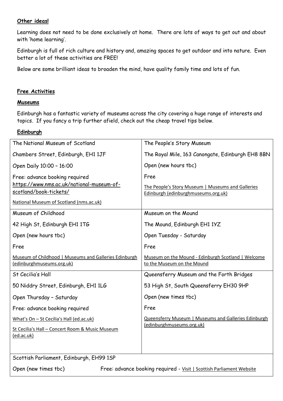### **Other ideas!**

Learning does not need to be done exclusively at home. There are lots of ways to get out and about with 'home learning'.

Edinburgh is full of rich culture and history and, amazing spaces to get outdoor and into nature. Even better a lot of these activities are FREE!

Below are some brilliant ideas to broaden the mind, have quality family time and lots of fun.

### **Free Activities**

### **Museums**

Edinburgh has a fantastic variety of museums across the city covering a huge range of interests and topics. If you fancy a trip further afield, check out the cheap travel tips below.

### **Edinburgh**

| The National Museum of Scotland                       | The People's Story Museum                            |
|-------------------------------------------------------|------------------------------------------------------|
|                                                       |                                                      |
| Chambers Street, Edinburgh, EH1 1JF                   | The Royal Mile, 163 Canongate, Edinburgh EH8 8BN     |
| Open Daily 10:00 - 16:00                              | Open (new hours tbc)                                 |
| Free: advance booking required                        | Free                                                 |
| https://www.nms.ac.uk/national-museum-of-             | The People's Story Museum   Museums and Galleries    |
| scotland/book-tickets/                                | Edinburgh (edinburghmuseums.org.uk)                  |
| National Museum of Scotland (nms.ac.uk)               |                                                      |
| Museum of Childhood                                   | Museum on the Mound                                  |
| 42 High St, Edinburgh EH1 1TG                         | The Mound, Edinburgh EH1 1YZ                         |
| Open (new hours tbc)                                  | Open Tuesday - Saturday                              |
| Free                                                  | Free                                                 |
| Museum of Childhood   Museums and Galleries Edinburgh | Museum on the Mound - Edinburgh Scotland   Welcome   |
| (edinburghmuseums.org.uk)                             | to the Museum on the Mound                           |
| St Cecilia's Hall                                     | Queensferry Museum and the Forth Bridges             |
| 50 Niddry Street, Edinburgh, EH1 1LG                  | 53 High St, South Queensferry EH30 9HP               |
| Open Thursday - Saturday                              | Open (new times tbc)                                 |
| Free: advance booking required                        | Free                                                 |
| What's On - St Cecilia's Hall (ed.ac.uk)              | Queensferry Museum   Museums and Galleries Edinburgh |
| St Cecilia's Hall - Concert Room & Music Museum       | (edinburghmuseums.org.uk)                            |
| (ed.ac.uk)                                            |                                                      |
|                                                       |                                                      |
| Scottish Parliament, Edinburgh, EH99 1SP              |                                                      |

Open (new times tbc) Free: advance booking required - Visit | Scottish [Parliament](https://www.parliament.scot/visit) Website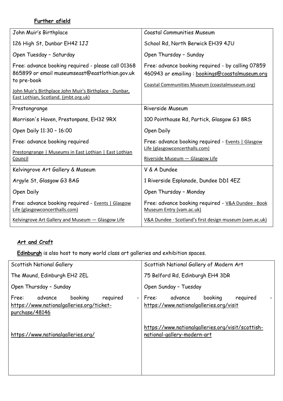# **Further afield**

| John Muir's Birthplace                                                                                              | <b>Coastal Communities Museum</b>                                                                                                                     |
|---------------------------------------------------------------------------------------------------------------------|-------------------------------------------------------------------------------------------------------------------------------------------------------|
| 126 High St, Dunbar EH42 1JJ                                                                                        | School Rd, North Berwick EH39 4JU                                                                                                                     |
| Open Tuesday - Saturday                                                                                             | Open Thursday - Sunday                                                                                                                                |
| Free: advance booking required - please call 01368<br>865899 or email museumseast@eastlothian.gov.uk<br>to pre-book | Free: advance booking required - by calling 07859<br>460943 or emailing: bookings@coastalmuseum.org<br>Coastal Communities Museum (coastalmuseum.org) |
| John Muir's Birthplace John Muir's Birthplace - Dunbar,<br>East Lothian, Scotland. (jmbt.org.uk)                    |                                                                                                                                                       |
| Prestongrange                                                                                                       | Riverside Museum                                                                                                                                      |
| Morrison's Haven, Prestonpans, EH32 9RX                                                                             | 100 Pointhouse Rd, Partick, Glasgow G3 8RS                                                                                                            |
| Open Daily 11:30 - 16:00                                                                                            | Open Daily                                                                                                                                            |
| Free: advance booking required<br>Prestongrange   Museums in East Lothian   East Lothian                            | Free: advance booking required - Events   Glasgow<br>Life (glasgowconcerthalls.com)                                                                   |
| Council                                                                                                             | Riverside Museum - Glasgow Life                                                                                                                       |
|                                                                                                                     |                                                                                                                                                       |
| Kelvingrove Art Gallery & Museum                                                                                    | V & A Dundee                                                                                                                                          |
| Argyle St, Glasgow G3 8AG                                                                                           | 1 Riverside Esplanade, Dundee DD1 4EZ                                                                                                                 |
| Open Daily                                                                                                          | Open Thursday - Monday                                                                                                                                |
| Free: advance booking required - Events   Glasgow<br>Life (glasgowconcerthalls.com)                                 | Free: advance booking required - V&A Dundee · Book<br>Museum Entry (vam.ac.uk)                                                                        |

# **Art and Craft**

**Edinburgh** is also host to many world class art galleries and exhibition spaces.

| Scottish National Gallery                                                                                                          | Scottish National Gallery of Modern Art                                            |
|------------------------------------------------------------------------------------------------------------------------------------|------------------------------------------------------------------------------------|
| The Mound, Edinburgh EH2 2EL                                                                                                       | 75 Belford Rd, Edinburgh EH4 3DR                                                   |
| Open Thursday - Sunday                                                                                                             | Open Sunday - Tuesday                                                              |
| booking<br>required<br>advance<br>Free:<br>$\overline{\phantom{a}}$<br>https://www.nationalgalleries.org/ticket-<br>purchase/48146 | booking<br>advance<br>required<br>Free:<br>https://www.nationalgalleries.org/visit |
| https://www.nationalgalleries.org/                                                                                                 | https://www.nationalgalleries.org/visit/scottish-<br>national-gallery-modern-art   |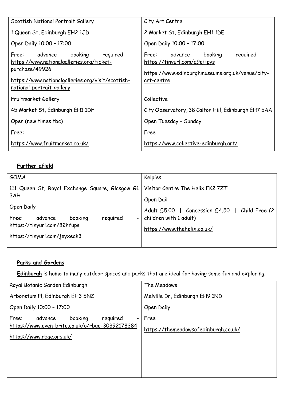| Scottish National Portrait Gallery                                                                                                                                                       | City Art Centre                                                                                                                              |
|------------------------------------------------------------------------------------------------------------------------------------------------------------------------------------------|----------------------------------------------------------------------------------------------------------------------------------------------|
| 1 Queen St, Edinburgh EH2 1JD                                                                                                                                                            | 2 Market St, Edinburgh EH1 1DE                                                                                                               |
| Open Daily 10:00 - 17:00                                                                                                                                                                 | Open Daily 10:00 - 17:00                                                                                                                     |
| required<br>Free:<br>advance<br>booking<br>https://www.nationalgalleries.org/ticket-<br>purchase/49926<br>https://www.nationalgalleries.org/visit/scottish-<br>national-portrait-gallery | booking<br>required<br>advance<br>- I Free:<br>https://tinyurl.com/a9ejjpys<br>https://www.edinburghmuseums.org.uk/venue/city-<br>art-centre |
| Fruitmarket Gallery                                                                                                                                                                      | Collective                                                                                                                                   |
| 45 Market St, Edinburgh EH1 1DF                                                                                                                                                          | City Observatory, 38 Calton Hill, Edinburgh EH7 5AA                                                                                          |
| Open (new times tbc)                                                                                                                                                                     | Open Tuesday - Sunday                                                                                                                        |
| Free:                                                                                                                                                                                    | Free                                                                                                                                         |
| https://www.fruitmarket.co.uk/                                                                                                                                                           | https://www.collective-edinburgh.art/                                                                                                        |

# **Further afield**

| GOMA                                            | Kelpies                                                 |
|-------------------------------------------------|---------------------------------------------------------|
| 111 Queen St, Royal Exchange Square, Glasgow G1 | Visitor Centre The Helix FK2 7ZT                        |
| 3AH                                             | Open Dail                                               |
| Open Daily                                      | Adult £5.00   Concession £4.50<br>$\mid$ Child Free (2) |
| required<br>booking<br>Free:<br>advance         | children with 1 adult)                                  |
| https://tinyurl.com/82hfups                     | https://www.thehelix.co.uk/                             |
| https://tinyurl.com/jeyxeak3                    |                                                         |
|                                                 |                                                         |

# **Parks and Gardens**

**Edinburgh** is home to many outdoor spaces and parks that are ideal for having some fun and exploring.

| Royal Botanic Garden Edinburgh                                                                                                                     | The Meadows                                  |
|----------------------------------------------------------------------------------------------------------------------------------------------------|----------------------------------------------|
| Arboretum PI, Edinburgh EH3 5NZ                                                                                                                    | Melville Dr, Edinburgh EH9 1ND               |
| Open Daily 10:00 - 17:00                                                                                                                           | Open Daily                                   |
| booking<br>reguired<br>Free:<br>advance<br>$\overline{\phantom{0}}$<br>https://www.eventbrite.co.uk/o/rbge-30392178384<br>https://www.rbge.org.uk/ | Free<br>https://themeadowsofedinburgh.co.uk/ |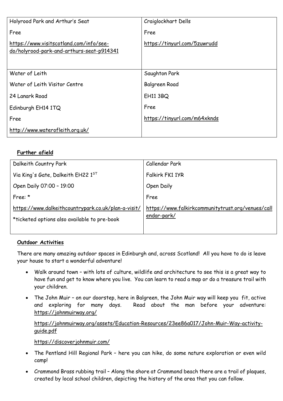| Holyrood Park and Arthur's Seat                                                      | Craiglockhart Dells          |
|--------------------------------------------------------------------------------------|------------------------------|
| Free                                                                                 | Free                         |
| https://www.visitscotland.com/info/see-<br>do/holyrood-park-and-arthurs-seat-p914341 | https://tinyurl.com/5zuwrudd |
| Water of Leith                                                                       | Saughton Park                |
| Water of Leith Visitor Centre                                                        | Balgreen Road                |
| 24 Lanark Road                                                                       | <b>EH11 3BQ</b>              |
| Edinburgh EH14 1TQ                                                                   | Free                         |
| Free                                                                                 | https://tinyurl.com/m64xknds |
| http://www.waterofleith.org.uk/                                                      |                              |

# **Further afield**

| Dalkeith Country Park                               | Callendar Park                                    |
|-----------------------------------------------------|---------------------------------------------------|
| Via King's Gate, Dalkeith EH22 1ST                  | Falkirk FK1 1YR                                   |
| Open Daily 07:00 - 19:00                            | Open Daily                                        |
| Free: $*$                                           | Free                                              |
| https://www.dalkeithcountrypark.co.uk/plan-a-visit/ | https://www.falkirkcommunitytrust.org/venues/call |
| *ticketed options also available to pre-book        | endar-park/                                       |
|                                                     |                                                   |

## **Outdoor Activities**

There are many amazing outdoor spaces in Edinburgh and, across Scotland! All you have to do is leave your house to start a wonderful adventure!

- Walk around town with lots of culture, wildlife and architecture to see this is a great way to have fun and get to know where you live. You can learn to read a map or do a treasure trail with your children.
- The John Muir on our doorstep, here in Balgreen, the John Muir way will keep you fit, active and exploring for many days. Read about the man before your adventure: <https://johnmuirway.org/>

# [https://johnmuirway.org/assets/Education-Resources/23ee86a017/John-Muir-Way-activity](https://johnmuirway.org/assets/Education-Resources/23ee86a017/John-Muir-Way-activity-guide.pdf)[guide.pdf](https://johnmuirway.org/assets/Education-Resources/23ee86a017/John-Muir-Way-activity-guide.pdf)

<https://discoverjohnmuir.com/>

- The Pentland Hill Regional Park here you can hike, do some nature exploration or even wild camp!
- Crammond Brass rubbing trail Along the shore at Crammond beach there are a trail of plaques, created by local school children, depicting the history of the area that you can follow.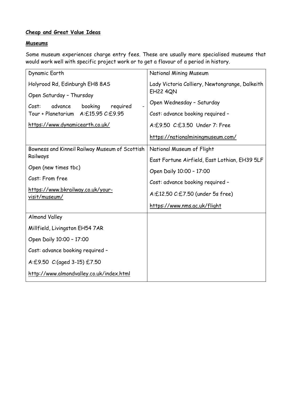# **Cheap and Great Value Ideas**

### **Museums**

Some museum experiences charge entry fees. These are usually more specialised museums that would work well with specific project work or to get a flavour of a period in history.

| Dynamic Earth                                      | National Mining Museum                         |
|----------------------------------------------------|------------------------------------------------|
| Holyrood Rd, Edinburgh EH8 8AS                     | Lady Victoria Colliery, Newtongrange, Dalkeith |
| Open Saturday - Thursday                           | <b>EH22 4QN</b>                                |
| booking<br>required<br>Cost:<br>advance            | Open Wednesday - Saturday                      |
| Tour + Planetarium A:£15.95 C:£9.95                | Cost: advance booking required -               |
| https://www.dynamicearth.co.uk/                    | A:£9.50 C:£3.50 Under 7: Free                  |
|                                                    | https://nationalminingmuseum.com/              |
| Bowness and Kinneil Railway Museum of Scottish     | National Museum of Flight                      |
| Railways                                           | East Fortune Airfield, East Lothian, EH39 5LF  |
| Open (new times tbc)                               | Open Daily 10:00 - 17:00                       |
| Cost: From free                                    | Cost: advance booking required -               |
| https://www.bkrailway.co.uk/your-<br>visit/museum/ | A:£12.50 C:£7.50 (under 5s free)               |
|                                                    | https://www.nms.ac.uk/flight                   |
| <b>Almond Valley</b>                               |                                                |
| Millfield, Livingston EH54 7AR                     |                                                |
| Open Daily 10:00 - 17:00                           |                                                |
| Cost: advance booking required -                   |                                                |
| A:£9.50 C:(aged 3-15) £7.50                        |                                                |
| http://www.almondvalley.co.uk/index.html           |                                                |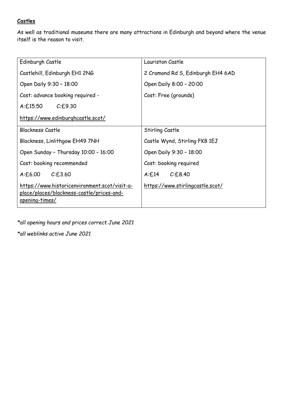# **Castles**

As well as traditional museums there are many attractions in Edinburgh and beyond where the venue itself is the reason to visit.

| Edinburgh Castle                                                                                                    | Lauriston Castle                         |
|---------------------------------------------------------------------------------------------------------------------|------------------------------------------|
| Castlehill, Edinburgh EH1 2NG                                                                                       | 2 Cramond Rd S, Edinburgh EH4 6AD        |
| Open Daily 9:30 - 18:00                                                                                             | Open Daily 8:00 - 20:00                  |
| Cost: advance booking required -                                                                                    | Cost: Free (grounds)                     |
| C.E.9.30<br>A:£15.50                                                                                                |                                          |
| https://www.edinburghcastle.scot/                                                                                   |                                          |
| <b>Blackness Castle</b>                                                                                             | Stirling Castle                          |
| Blackness, Linlithgow EH49 7NH                                                                                      | Castle Wynd, Stirling FK8 1EJ            |
| Open Sunday - Thursday 10:00 - 16:00                                                                                | Open Daily 9:30 - 18:00                  |
| Cost: booking recommended                                                                                           | Cost: booking required                   |
| C.E.3.60<br>A:£6.00                                                                                                 | A:£14<br>C.E.8.40                        |
| https://www.historicenvironment.scot/visit-a-<br><u>place/places/blackness-castle/prices-and-</u><br>opening-times/ | <u> https://www.stirlingcastle.scot/</u> |

*\*all opening hours and prices correct June 2021*

*\*all weblinks active June 2021*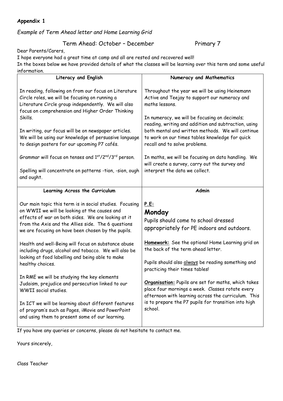# **Appendix 1**

# *Example of Term Ahead letter and Home Learning Grid*

# Term Ahead: October - December Primary 7

Dear Parents/Carers,

I hope everyone had a great time at camp and all are rested and recovered well! In the boxes below we have provided details of what the classes will be learning over this term and some useful information.

| ιπτοι πιατιοπ.                                                                                                                                                                                                                                                            |                                                                                                                                                                                                                        |
|---------------------------------------------------------------------------------------------------------------------------------------------------------------------------------------------------------------------------------------------------------------------------|------------------------------------------------------------------------------------------------------------------------------------------------------------------------------------------------------------------------|
| Literacy and English                                                                                                                                                                                                                                                      | Numeracy and Mathematics                                                                                                                                                                                               |
| In reading, following on from our focus on Literature<br>Circle roles, we will be focusing on running a<br>Literature Circle group independently. We will also<br>focus on comprehension and Higher Order Thinking                                                        | Throughout the year we will be using Heinemann<br>Active and Teejay to support our numeracy and<br>maths lessons.                                                                                                      |
| Skills.                                                                                                                                                                                                                                                                   | In numeracy, we will be focusing on decimals;<br>reading, writing and addition and subtraction, using                                                                                                                  |
| In writing, our focus will be on newspaper articles.<br>We will be using our knowledge of persuasive language<br>to design posters for our upcoming P7 cafés.                                                                                                             | both mental and written methods. We will continue<br>to work on our times tables knowledge for quick<br>recall and to solve problems.                                                                                  |
| Grammar will focus on tenses and 1st/2nd/3rd person.                                                                                                                                                                                                                      | In maths, we will be focusing on data handling. We<br>will create a survey, carry out the survey and                                                                                                                   |
| Spelling will concentrate on patterns -tion, -sion, ough<br>and ought.                                                                                                                                                                                                    | interpret the data we collect.                                                                                                                                                                                         |
| Learning Across the Curriculum                                                                                                                                                                                                                                            | <b>Admin</b>                                                                                                                                                                                                           |
| Our main topic this term is in social studies. Focusing<br>on WWII we will be looking at the causes and<br>effects of war on both sides. We are looking at it<br>from the Axis and the Allies side. The 6 questions<br>we are focusing on have been chosen by the pupils. | <u>P.E:</u><br>Monday<br>Pupils should come to school dressed<br>appropriately for PE indoors and outdoors.                                                                                                            |
|                                                                                                                                                                                                                                                                           |                                                                                                                                                                                                                        |
| Health and well-Being will focus on substance abuse<br>including drugs, alcohol and tobacco. We will also be                                                                                                                                                              | Homework: See the optional Home Learning grid on<br>the back of the term ahead letter.                                                                                                                                 |
| looking at food labelling and being able to make<br>healthy choices.                                                                                                                                                                                                      | Pupils should also always be reading something and<br>practicing their times tables!                                                                                                                                   |
| In RME we will be studying the key elements<br>Judaism, prejudice and persecution linked to our<br>WWII social studies.                                                                                                                                                   | Organisation: Pupils are set for maths, which takes<br>place four mornings a week. Classes rotate every<br>afternoon with learning across the curriculum. This<br>is to prepare the P7 pupils for transition into high |

If you have any queries or concerns, please do not hesitate to contact me.

Yours sincerely,

Class Teacher